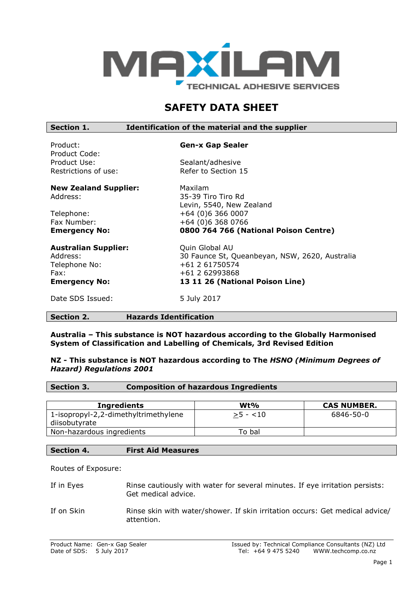

# **SAFETY DATA SHEET**

| Section 1.                                                                               | Identification of the material and the supplier                                                                                         |
|------------------------------------------------------------------------------------------|-----------------------------------------------------------------------------------------------------------------------------------------|
| Product:<br>Product Code:                                                                | <b>Gen-x Gap Sealer</b>                                                                                                                 |
| Product Use:                                                                             | Sealant/adhesive                                                                                                                        |
| Restrictions of use:                                                                     | Refer to Section 15                                                                                                                     |
| <b>New Zealand Supplier:</b>                                                             | Maxilam                                                                                                                                 |
| Address:                                                                                 | 35-39 Tiro Tiro Rd                                                                                                                      |
|                                                                                          | Levin, 5540, New Zealand                                                                                                                |
| Telephone:                                                                               | +64 (0)6 366 0007                                                                                                                       |
| Fax Number:                                                                              | +64 (0)6 368 0766                                                                                                                       |
| <b>Emergency No:</b>                                                                     | 0800 764 766 (National Poison Centre)                                                                                                   |
| <b>Australian Supplier:</b><br>Address:<br>Telephone No:<br>Fax:<br><b>Emergency No:</b> | Quin Global AU<br>30 Faunce St, Queanbeyan, NSW, 2620, Australia<br>+61 2 61750574<br>+61 2 62993868<br>13 11 26 (National Poison Line) |
| Date SDS Issued:                                                                         | 5 July 2017                                                                                                                             |

# **Section 2. Hazards Identification**

**Australia – This substance is NOT hazardous according to the Globally Harmonised System of Classification and Labelling of Chemicals, 3rd Revised Edition**

## **NZ - This substance is NOT hazardous according to The** *HSNO (Minimum Degrees of Hazard) Regulations 2001*

| Section 3. | <b>Composition of hazardous Ingredients</b> |
|------------|---------------------------------------------|
|            |                                             |

| Ingredients                                           | $Wt\%$    | <b>CAS NUMBER.</b> |
|-------------------------------------------------------|-----------|--------------------|
| 1-isopropyl-2,2-dimethyltrimethylene<br>diisobutyrate | $>5 - 10$ | 6846-50-0          |
| Non-hazardous ingredients                             | To bal    |                    |

## **Section 4. First Aid Measures**

Routes of Exposure:

- If in Eyes Rinse cautiously with water for several minutes. If eye irritation persists: Get medical advice.
- If on Skin Rinse skin with water/shower. If skin irritation occurs: Get medical advice/ attention.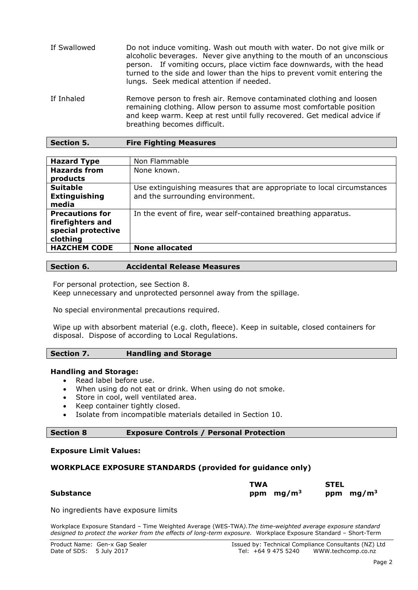| If Swallowed | Do not induce vomiting. Wash out mouth with water. Do not give milk or<br>alcoholic beverages. Never give anything to the mouth of an unconscious<br>person. If vomiting occurs, place victim face downwards, with the head<br>turned to the side and lower than the hips to prevent vomit entering the<br>lungs. Seek medical attention if needed. |
|--------------|-----------------------------------------------------------------------------------------------------------------------------------------------------------------------------------------------------------------------------------------------------------------------------------------------------------------------------------------------------|
| If Inhaled   | Remove person to fresh air. Remove contaminated clothing and loosen                                                                                                                                                                                                                                                                                 |

o fresh air. Remove contaminated clothi remaining clothing. Allow person to assume most comfortable position and keep warm. Keep at rest until fully recovered. Get medical advice if breathing becomes difficult.

| <b>Section 5.</b> | <b>Fire Fighting Measures</b> |
|-------------------|-------------------------------|
|-------------------|-------------------------------|

| <b>Hazard Type</b>                     | Non Flammable                                                          |
|----------------------------------------|------------------------------------------------------------------------|
| <b>Hazards from</b>                    | None known.                                                            |
| products<br><b>Suitable</b>            | Use extinguishing measures that are appropriate to local circumstances |
| <b>Extinguishing</b>                   | and the surrounding environment.                                       |
| media                                  |                                                                        |
| <b>Precautions for</b>                 | In the event of fire, wear self-contained breathing apparatus.         |
| firefighters and<br>special protective |                                                                        |
| clothing                               |                                                                        |
| <b>HAZCHEM CODE</b>                    | <b>None allocated</b>                                                  |
|                                        |                                                                        |

|  | Section 6. | <b>Accidental Release Measures</b> |
|--|------------|------------------------------------|
|--|------------|------------------------------------|

For personal protection, see Section 8.

Keep unnecessary and unprotected personnel away from the spillage.

No special environmental precautions required.

Wipe up with absorbent material (e.g. cloth, fleece). Keep in suitable, closed containers for disposal. Dispose of according to Local Regulations.

## **Section 7. Handling and Storage**

## **Handling and Storage:**

- Read label before use.
- When using do not eat or drink. When using do not smoke.
- Store in cool, well ventilated area.
- Keep container tightly closed.
- Isolate from incompatible materials detailed in Section 10.

# **Section 8 Exposure Controls / Personal Protection**

## **Exposure Limit Values:**

## **WORKPLACE EXPOSURE STANDARDS (provided for guidance only)**

|           | <b>TWA</b>  | <b>STEL</b> |
|-----------|-------------|-------------|
| Substance | ppm $mg/m3$ | ppm $mg/m3$ |

No ingredients have exposure limits

Workplace Exposure Standard – Time Weighted Average (WES-TWA*).The time-weighted average exposure standard designed to protect the worker from the effects of long-term exposure.* Workplace Exposure Standard – Short-Term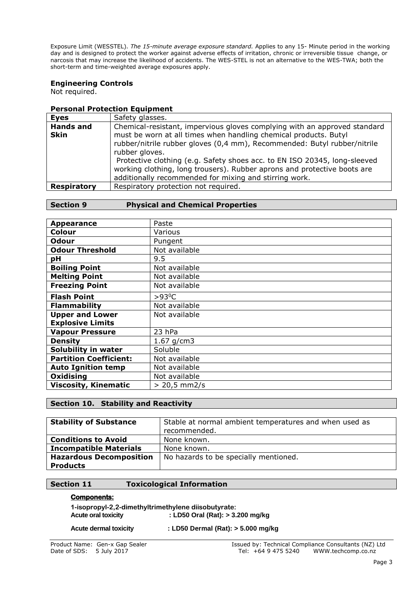Exposure Limit (WESSTEL). *The 15-minute average exposure standard.* Applies to any 15- Minute period in the working day and is designed to protect the worker against adverse effects of irritation, chronic or irreversible tissue change, or narcosis that may increase the likelihood of accidents. The WES-STEL is not an alternative to the WES-TWA; both the short-term and time-weighted average exposures apply.

# **Engineering Controls**

Not required.

# **Personal Protection Equipment**

| <b>Eyes</b>                     | Safety glasses.                                                                                                                                                                                                                                                                                                                                                                                                                                                |
|---------------------------------|----------------------------------------------------------------------------------------------------------------------------------------------------------------------------------------------------------------------------------------------------------------------------------------------------------------------------------------------------------------------------------------------------------------------------------------------------------------|
| <b>Hands and</b><br><b>Skin</b> | Chemical-resistant, impervious gloves complying with an approved standard<br>must be worn at all times when handling chemical products. Butyl<br>rubber/nitrile rubber gloves (0,4 mm), Recommended: Butyl rubber/nitrile<br>rubber gloves.<br>Protective clothing (e.g. Safety shoes acc. to EN ISO 20345, long-sleeved<br>working clothing, long trousers). Rubber aprons and protective boots are<br>additionally recommended for mixing and stirring work. |
| <b>Respiratory</b>              | Respiratory protection not required.                                                                                                                                                                                                                                                                                                                                                                                                                           |

# **Section 9 Physical and Chemical Properties**

| <b>Appearance</b>             | Paste           |
|-------------------------------|-----------------|
| Colour                        | Various         |
| <b>Odour</b>                  | Pungent         |
| <b>Odour Threshold</b>        | Not available   |
| рH                            | 9.5             |
| <b>Boiling Point</b>          | Not available   |
| <b>Melting Point</b>          | Not available   |
| <b>Freezing Point</b>         | Not available   |
| <b>Flash Point</b>            | $>93^{\circ}$ C |
| <b>Flammability</b>           | Not available   |
| <b>Upper and Lower</b>        | Not available   |
| <b>Explosive Limits</b>       |                 |
| <b>Vapour Pressure</b>        | 23 hPa          |
| <b>Density</b>                | 1.67 $g/cm3$    |
| Solubility in water           | Soluble         |
| <b>Partition Coefficient:</b> | Not available   |
| <b>Auto Ignition temp</b>     | Not available   |
| Oxidising                     | Not available   |
| <b>Viscosity, Kinematic</b>   | $> 20.5$ mm2/s  |

# **Section 10. Stability and Reactivity**

| <b>Stability of Substance</b>  | Stable at normal ambient temperatures and when used as<br>recommended. |
|--------------------------------|------------------------------------------------------------------------|
| <b>Conditions to Avoid</b>     | None known.                                                            |
| <b>Incompatible Materials</b>  | None known.                                                            |
| <b>Hazardous Decomposition</b> | No hazards to be specially mentioned.                                  |
| <b>Products</b>                |                                                                        |

## **Section 11 Toxicological Information**

#### **Components:**

**1-isopropyl-2,2-dimethyltrimethylene diisobutyrate: Acute oral toxicity : LD50 Oral (Rat): > 3.200 mg/kg**

**Acute dermal toxicity : LD50 Dermal (Rat): > 5.000 mg/kg**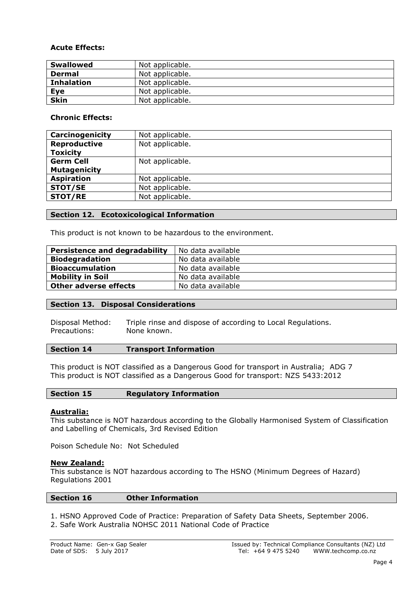# **Acute Effects:**

| <b>Swallowed</b>  | Not applicable. |
|-------------------|-----------------|
| <b>Dermal</b>     | Not applicable. |
| <b>Inhalation</b> | Not applicable. |
| Eye               | Not applicable. |
| <b>Skin</b>       | Not applicable. |

# **Chronic Effects:**

| Carcinogenicity     | Not applicable. |
|---------------------|-----------------|
| <b>Reproductive</b> | Not applicable. |
| <b>Toxicity</b>     |                 |
| <b>Germ Cell</b>    | Not applicable. |
| <b>Mutagenicity</b> |                 |
| <b>Aspiration</b>   | Not applicable. |
| <b>STOT/SE</b>      | Not applicable. |
| <b>STOT/RE</b>      | Not applicable. |

# **Section 12. Ecotoxicological Information**

This product is not known to be hazardous to the environment.

| <b>Persistence and degradability</b> | No data available |
|--------------------------------------|-------------------|
| <b>Biodegradation</b>                | No data available |
| <b>Bioaccumulation</b>               | No data available |
| <b>Mobility in Soil</b>              | No data available |
| <b>Other adverse effects</b>         | No data available |

# **Section 13. Disposal Considerations**

Disposal Method: Triple rinse and dispose of according to Local Regulations. Precautions: None known.

## **Section 14 Transport Information**

This product is NOT classified as a Dangerous Good for transport in Australia; ADG 7 This product is NOT classified as a Dangerous Good for transport: NZS 5433:2012

| <b>Section 15</b> | <b>Regulatory Information</b> |
|-------------------|-------------------------------|
|                   |                               |

## **Australia:**

This substance is NOT hazardous according to the Globally Harmonised System of Classification and Labelling of Chemicals, 3rd Revised Edition

Poison Schedule No: Not Scheduled

## **New Zealand:**

This substance is NOT hazardous according to The HSNO (Minimum Degrees of Hazard) Regulations 2001

## **Section 16 Other Information**

1. HSNO Approved Code of Practice: Preparation of Safety Data Sheets, September 2006. 2. Safe Work Australia NOHSC 2011 National Code of Practice